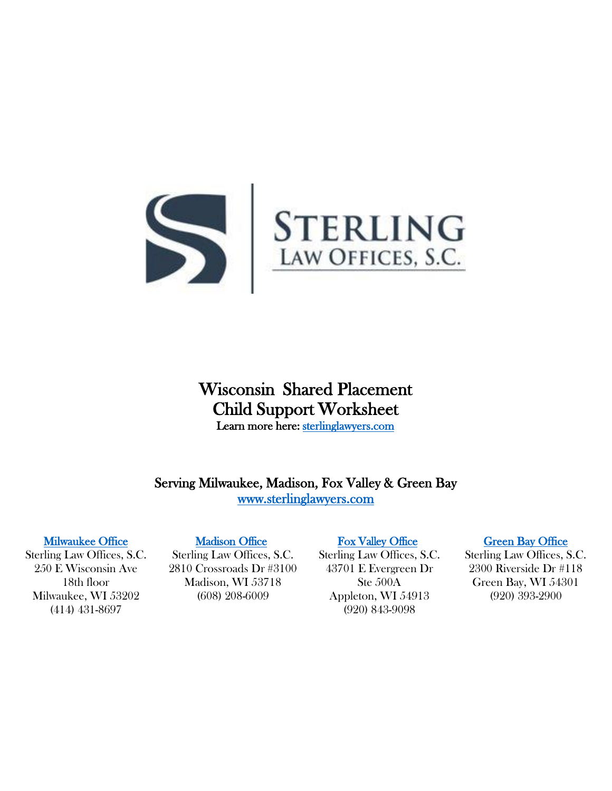

# Wisconsin Shared Placement Child Support Worksheet Learn more here: [sterlinglawyers.com](https://www.sterlinglawyers.com/wisconsin/child-support/calculator/)

Serving Milwaukee, Madison, Fox Valley & Green Bay [www.sterlinglawyers.com](https://www.sterlinglawyers.com/wisconsin/) 

### [Milwaukee Office](https://www.sterlinglawyers.com/wisconsin/locations/milwaukee/)

Sterling Law Offices, S.C. 250 E Wisconsin Ave 18th floor Milwaukee, WI 53202 (414) 431-8697

### [Madison Office](https://www.sterlinglawyers.com/wisconsin/locations/madison/)

Sterling Law Offices, S.C. 2810 Crossroads Dr #3100 Madison, WI 53718 (608) 208-6009

## [Fox Valley Office](https://www.sterlinglawyers.com/wisconsin/locations/appleton/)

Sterling Law Offices, S.C. 43701 E Evergreen Dr Ste 500A Appleton, WI 54913 (920) 843-9098

#### [Green Bay Office](https://www.sterlinglawyers.com/wisconsin/locations/green-bay/)

Sterling Law Offices, S.C. 2300 Riverside Dr #118 Green Bay, WI 54301 (920) 393-2900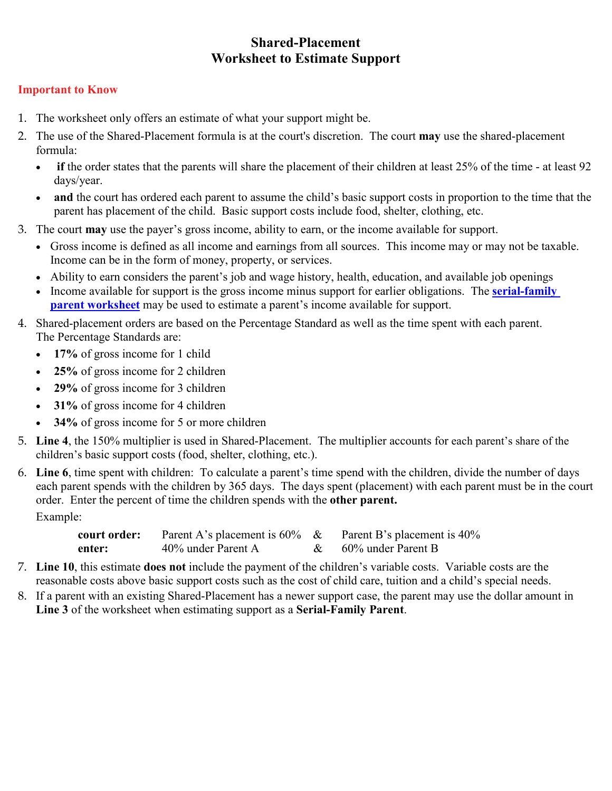# **Shared-Placement Worksheet to Estimate Support**

# **Important to Know**

- 1. The worksheet only offers an estimate of what your support might be.
- 2. The use of the Shared-Placement formula is at the court's discretion. The court **may** use the shared-placement formula:
	- **if** the order states that the parents will share the placement of their children at least 25% of the time at least 92 days/year.
	- **and** the court has ordered each parent to assume the child's basic support costs in proportion to the time that the parent has placement of the child. Basic support costs include food, shelter, clothing, etc.
- 3. The court **may** use the payer's gross income, ability to earn, or the income available for support.
	- Gross income is defined as all income and earnings from all sources. This income may or may not be taxable. Income can be in the form of money, property, or services.
	- Ability to earn considers the parent's job and wage history, health, education, and available job openings
	- Income available for support is the gross income minus support for earlier obligations. The **[serial-family](https://www.sterlinglawyers.com/wisconsin/wp-content/uploads/sites/2/Wisconsin-Serial-Family-Parent-Child-Support-Worksheet.pdf) parent [worksheet](https://www.sterlinglawyers.com/wisconsin/wp-content/uploads/sites/2/Wisconsin-Serial-Family-Parent-Child-Support-Worksheet.pdf)** may be used to estimate a parent's income available for support.
- 4. Shared-placement orders are based on the Percentage Standard as well as the time spent with each parent. The Percentage Standards are:
	- **17%** of gross income for 1 child
	- **25%** of gross income for 2 children
	- **29%** of gross income for 3 children
	- **31%** of gross income for 4 children
	- **34%** of gross income for 5 or more children
- 5. **Line 4**, the 150% multiplier is used in Shared-Placement. The multiplier accounts for each parent's share of the children's basic support costs (food, shelter, clothing, etc.).
- 6. **Line 6**, time spent with children: To calculate a parent's time spend with the children, divide the number of days each parent spends with the children by 365 days. The days spent (placement) with each parent must be in the court order. Enter the percent of time the children spends with the **other parent.** Example:

**court order:** Parent A's placement is 60% & Parent B's placement is 40% enter: 40% under Parent A  $\&$  60% under Parent B

- 7. **Line 10**, this estimate **does not** include the payment of the children's variable costs. Variable costs are the reasonable costs above basic support costs such as the cost of child care, tuition and a child's special needs.
- 8. If a parent with an existing Shared-Placement has a newer support case, the parent may use the dollar amount in **Line 3** of the worksheet when estimating support as a **Serial-Family Parent**.